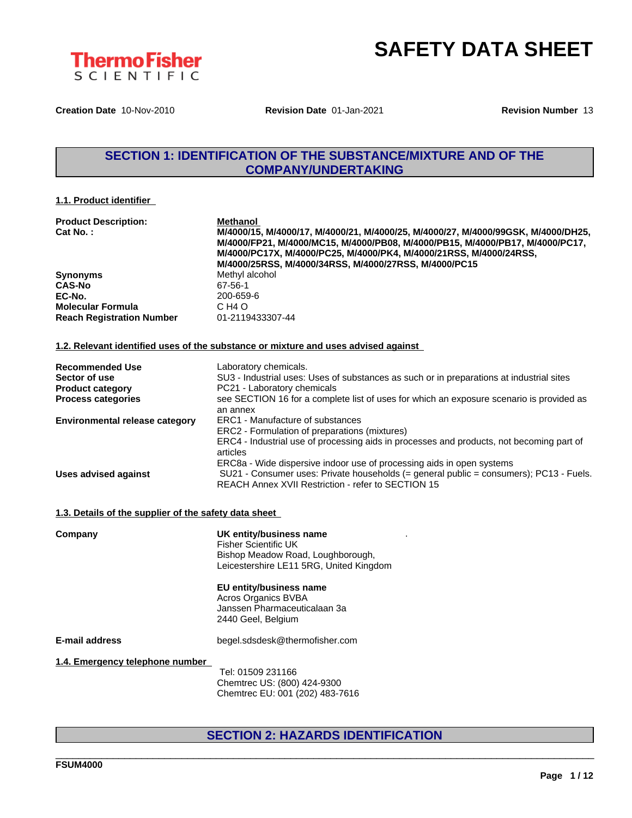

**Creation Date** 10-Nov-2010 **Revision Date** 01-Jan-2021 **Revision Number** 13

# **SECTION 1: IDENTIFICATION OF THE SUBSTANCE/MIXTURE AND OF THE COMPANY/UNDERTAKING**

# **1.1. Product identifier**

| <b>Product Description:</b>      | <b>Methanol</b>                                                                                                    |
|----------------------------------|--------------------------------------------------------------------------------------------------------------------|
| Cat No.:                         | M/4000/15, M/4000/17, M/4000/21, M/4000/25, M/4000/27, M/4000/99GSK, M/4000/DH25,                                  |
|                                  | M/4000/FP21, M/4000/MC15, M/4000/PB08, M/4000/PB15, M/4000/PB17, M/4000/PC17,                                      |
|                                  | M/4000/PC17X, M/4000/PC25, M/4000/PK4, M/4000/21RSS, M/4000/24RSS,                                                 |
|                                  | M/4000/25RSS, M/4000/34RSS, M/4000/27RSS, M/4000/PC15                                                              |
| <b>Synonyms</b>                  | Methyl alcohol                                                                                                     |
| <b>CAS-No</b>                    | 67-56-1                                                                                                            |
| EC-No.                           | 200-659-6                                                                                                          |
| <b>Molecular Formula</b>         | C H <sub>4</sub> O                                                                                                 |
| <b>Reach Registration Number</b> | 01-2119433307-44                                                                                                   |
|                                  | 1.2. Relevant identified uses of the substance or mixture and uses advised against                                 |
|                                  |                                                                                                                    |
| <b>Recommended Use</b>           | Laboratory chemicals.                                                                                              |
| Sector of use                    | SU3 - Industrial uses: Uses of substances as such or in preparations at industrial sites                           |
| <b>Product category</b>          | PC21 - Laboratory chemicals                                                                                        |
|                                  | . OF OTION LAG for a consistent that of second the contract and consistent is a second to the second to the $\sim$ |

| <b>Process categories</b>             | see SECTION 16 for a complete list of uses for which an exposure scenario is provided as |
|---------------------------------------|------------------------------------------------------------------------------------------|
|                                       | an annex                                                                                 |
| <b>Environmental release category</b> | ERC1 - Manufacture of substances                                                         |
|                                       | ERC2 - Formulation of preparations (mixtures)                                            |
|                                       | ERC4 - Industrial use of processing aids in processes and products, not becoming part of |
|                                       | articles                                                                                 |
|                                       | ERC8a - Wide dispersive indoor use of processing aids in open systems                    |
| Uses advised against                  | SU21 - Consumer uses: Private households (= general public = consumers); PC13 - Fuels.   |
|                                       | REACH Annex XVII Restriction - refer to SECTION 15                                       |

## **1.3. Details of the supplier of the safety data sheet**

| Company                         | UK entity/business name<br><b>Fisher Scientific UK</b><br>Bishop Meadow Road, Loughborough,<br>Leicestershire LE11 5RG, United Kingdom |
|---------------------------------|----------------------------------------------------------------------------------------------------------------------------------------|
|                                 | EU entity/business name<br>Acros Organics BVBA<br>Janssen Pharmaceuticalaan 3a<br>2440 Geel, Belgium                                   |
| <b>E-mail address</b>           | begel.sdsdesk@thermofisher.com                                                                                                         |
| 1.4. Emergency telephone number | Tel: 01509 231166<br>Chemtrec US: (800) 424-9300<br>Chemtrec EU: 001 (202) 483-7616                                                    |

# **SECTION 2: HAZARDS IDENTIFICATION**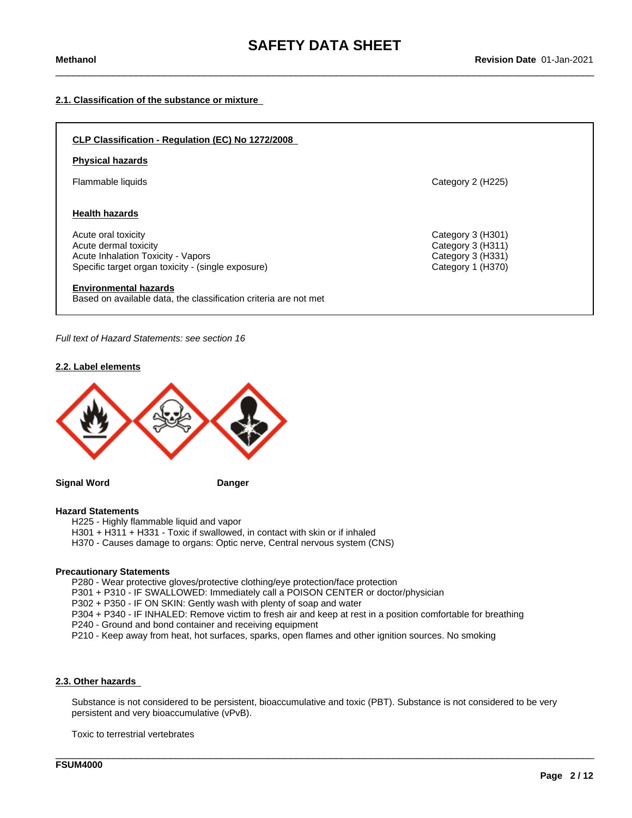# **2.1. Classification of the substance or mixture**



*Full text of Hazard Statements: see section 16*

## **2.2. Label elements**



**Signal Word Danger**

# **Hazard Statements**

H225 - Highly flammable liquid and vapor

H301 + H311 + H331 - Toxic if swallowed, in contact with skin or if inhaled

H370 - Causes damage to organs: Optic nerve, Central nervous system (CNS)

# **Precautionary Statements**

P280 - Wear protective gloves/protective clothing/eye protection/face protection

P301 + P310 - IF SWALLOWED: Immediately call a POISON CENTER or doctor/physician

P302 + P350 - IF ON SKIN: Gently wash with plenty of soap and water

P304 + P340 - IF INHALED: Remove victim to fresh air and keep at rest in a position comfortable for breathing

P240 - Ground and bond container and receiving equipment

P210 - Keep away from heat, hot surfaces, sparks, open flames and other ignition sources. No smoking

## **2.3. Other hazards**

Substance is not considered to be persistent, bioaccumulative and toxic (PBT). Substance is not considered to be very persistent and very bioaccumulative (vPvB).

\_\_\_\_\_\_\_\_\_\_\_\_\_\_\_\_\_\_\_\_\_\_\_\_\_\_\_\_\_\_\_\_\_\_\_\_\_\_\_\_\_\_\_\_\_\_\_\_\_\_\_\_\_\_\_\_\_\_\_\_\_\_\_\_\_\_\_\_\_\_\_\_\_\_\_\_\_\_\_\_\_\_\_\_\_\_\_\_\_\_\_\_\_\_

Toxic to terrestrial vertebrates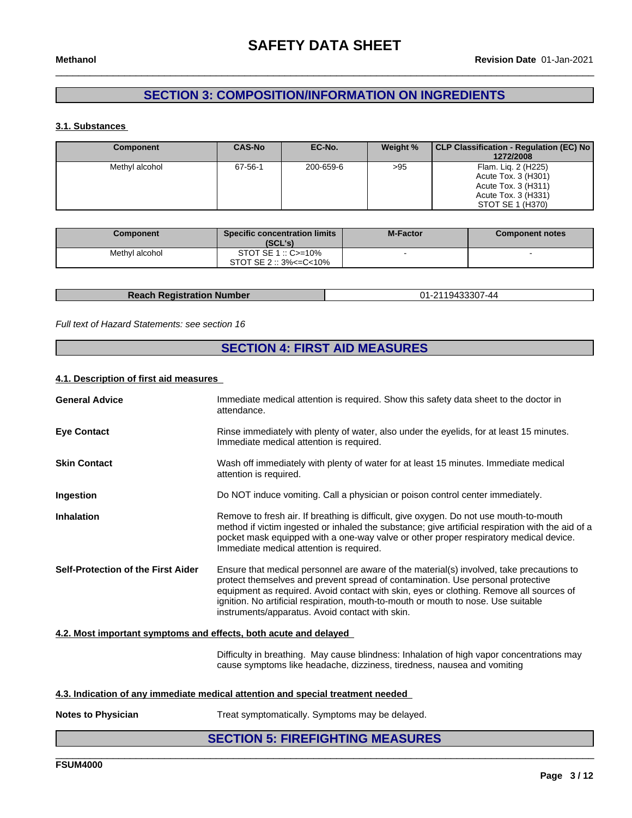# **SECTION 3: COMPOSITION/INFORMATION ON INGREDIENTS**

# **3.1. Substances**

| Component      | <b>CAS-No</b> | EC-No.    | Weight % | CLP Classification - Regulation (EC) No<br>1272/2008                                                         |
|----------------|---------------|-----------|----------|--------------------------------------------------------------------------------------------------------------|
| Methyl alcohol | 67-56-1       | 200-659-6 | >95      | Flam. Lig. 2 (H225)<br>Acute Tox. 3 (H301)<br>Acute Tox. 3 (H311)<br>Acute Tox. 3 (H331)<br>STOT SE 1 (H370) |

| Component      | <b>Specific concentration limits</b><br>(SCL's) | <b>M-Factor</b> | <b>Component notes</b> |
|----------------|-------------------------------------------------|-----------------|------------------------|
| Methyl alcohol | STOT SE $1::C = 10\%$                           |                 |                        |
|                | $STOT SE 2 :: 3\% <= C < 10\%$                  |                 |                        |

| <b>Reach Registration Number</b> | <b>01</b><br>,,,,, |
|----------------------------------|--------------------|

# *Full text of Hazard Statements: see section 16*

# **SECTION 4: FIRST AID MEASURES**

### **4.1. Description of first aid measures**

| <b>General Advice</b>              | Immediate medical attention is required. Show this safety data sheet to the doctor in<br>attendance.                                                                                                                                                                                                                                                                                                            |
|------------------------------------|-----------------------------------------------------------------------------------------------------------------------------------------------------------------------------------------------------------------------------------------------------------------------------------------------------------------------------------------------------------------------------------------------------------------|
| <b>Eye Contact</b>                 | Rinse immediately with plenty of water, also under the eyelids, for at least 15 minutes.<br>Immediate medical attention is required.                                                                                                                                                                                                                                                                            |
| <b>Skin Contact</b>                | Wash off immediately with plenty of water for at least 15 minutes. Immediate medical<br>attention is required.                                                                                                                                                                                                                                                                                                  |
| Ingestion                          | Do NOT induce vomiting. Call a physician or poison control center immediately.                                                                                                                                                                                                                                                                                                                                  |
| <b>Inhalation</b>                  | Remove to fresh air. If breathing is difficult, give oxygen. Do not use mouth-to-mouth<br>method if victim ingested or inhaled the substance; give artificial respiration with the aid of a<br>pocket mask equipped with a one-way valve or other proper respiratory medical device.<br>Immediate medical attention is required.                                                                                |
| Self-Protection of the First Aider | Ensure that medical personnel are aware of the material(s) involved, take precautions to<br>protect themselves and prevent spread of contamination. Use personal protective<br>equipment as required. Avoid contact with skin, eyes or clothing. Remove all sources of<br>ignition. No artificial respiration, mouth-to-mouth or mouth to nose. Use suitable<br>instruments/apparatus. Avoid contact with skin. |
|                                    |                                                                                                                                                                                                                                                                                                                                                                                                                 |

# **4.2. Most important symptoms and effects, both acute and delayed**

Difficulty in breathing. May cause blindness: Inhalation of high vapor concentrations may cause symptoms like headache, dizziness, tiredness, nausea and vomiting

\_\_\_\_\_\_\_\_\_\_\_\_\_\_\_\_\_\_\_\_\_\_\_\_\_\_\_\_\_\_\_\_\_\_\_\_\_\_\_\_\_\_\_\_\_\_\_\_\_\_\_\_\_\_\_\_\_\_\_\_\_\_\_\_\_\_\_\_\_\_\_\_\_\_\_\_\_\_\_\_\_\_\_\_\_\_\_\_\_\_\_\_\_\_

## **4.3. Indication of any immediate medical attention and special treatment needed**

**Notes to Physician** Treat symptomatically. Symptoms may be delayed.

# **SECTION 5: FIREFIGHTING MEASURES**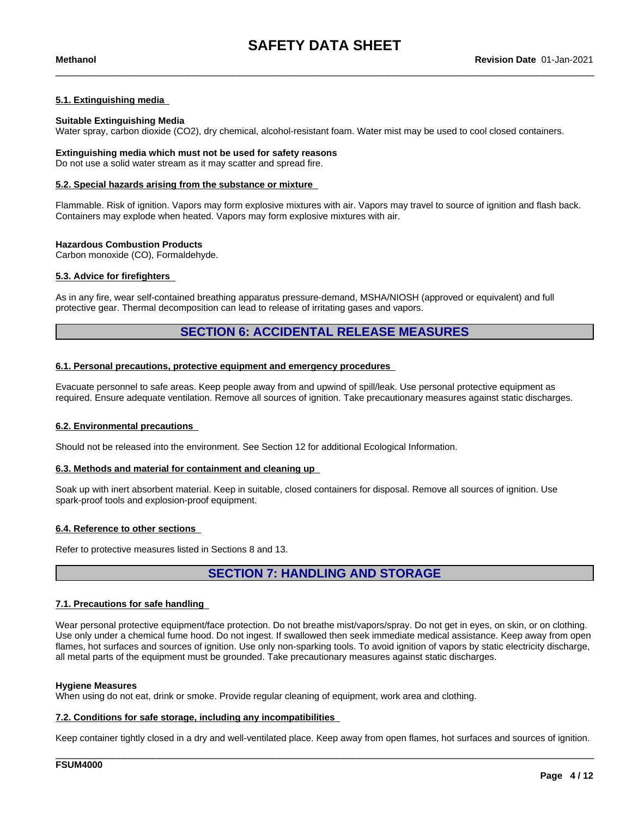# **5.1. Extinguishing media**

## **Suitable Extinguishing Media**

Water spray, carbon dioxide (CO2), dry chemical, alcohol-resistant foam. Water mist may be used to cool closed containers.

### **Extinguishing media which must not be used for safety reasons** Do not use a solid water stream as it may scatter and spread fire.

### **5.2. Special hazards arising from the substance or mixture**

Flammable. Risk of ignition. Vapors may form explosive mixtures with air. Vapors may travel to source of ignition and flash back. Containers may explode when heated. Vapors may form explosive mixtures with air.

## **Hazardous Combustion Products**

Carbon monoxide (CO), Formaldehyde.

# **5.3. Advice for firefighters**

As in any fire, wear self-contained breathing apparatus pressure-demand, MSHA/NIOSH (approved or equivalent) and full protective gear. Thermal decomposition can lead to release of irritating gases and vapors.

# **SECTION 6: ACCIDENTAL RELEASE MEASURES**

## **6.1. Personal precautions, protective equipment and emergency procedures**

Evacuate personnel to safe areas. Keep people away from and upwind of spill/leak. Use personal protective equipment as required. Ensure adequate ventilation. Remove all sources of ignition. Take precautionary measures against static discharges.

### **6.2. Environmental precautions**

Should not be released into the environment. See Section 12 for additional Ecological Information.

### **6.3. Methods and material for containment and cleaning up**

Soak up with inert absorbent material. Keep in suitable, closed containers for disposal. Remove all sources of ignition. Use spark-proof tools and explosion-proof equipment.

### **6.4. Reference to other sections**

Refer to protective measures listed in Sections 8 and 13.

# **SECTION 7: HANDLING AND STORAGE**

### **7.1. Precautions for safe handling**

Wear personal protective equipment/face protection. Do not breathe mist/vapors/spray. Do not get in eyes, on skin, or on clothing. Use only under a chemical fume hood. Do not ingest. If swallowed then seek immediate medical assistance. Keep away from open flames, hot surfaces and sources of ignition. Use only non-sparking tools. To avoid ignition of vapors by static electricity discharge, all metal parts of the equipment must be grounded. Take precautionary measures against static discharges.

### **Hygiene Measures**

When using do not eat, drink or smoke. Provide regular cleaning of equipment, work area and clothing.

### **7.2. Conditions for safe storage, including any incompatibilities**

Keep container tightly closed in a dry and well-ventilated place. Keep away from open flames, hot surfaces and sources of ignition.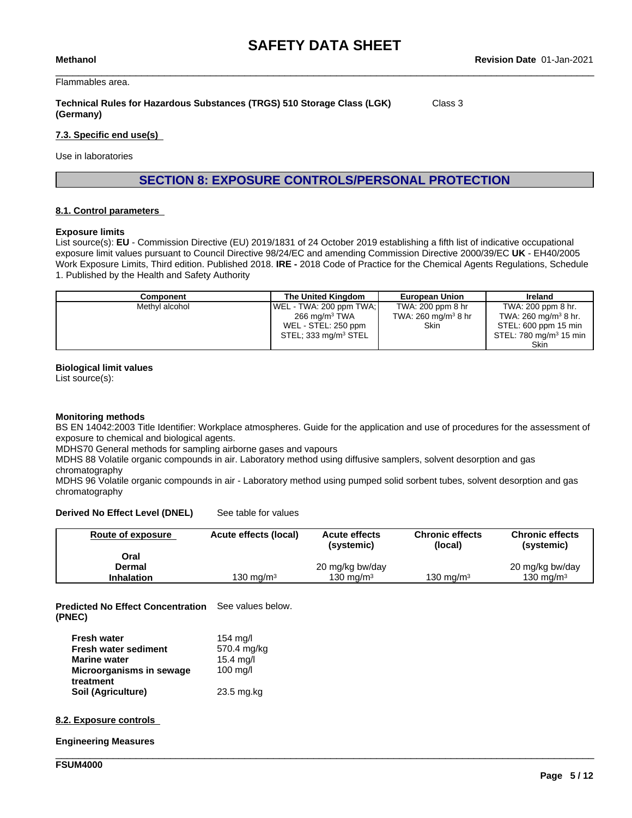Flammables area.

# **Technical Rules for Hazardous Substances (TRGS) 510 Storage Class (LGK) (Germany)**

Class 3

# **7.3. Specific end use(s)**

Use in laboratories

**SECTION 8: EXPOSURE CONTROLS/PERSONAL PROTECTION**

# **8.1. Control parameters**

## **Exposure limits**

List source(s): **EU** - Commission Directive (EU) 2019/1831 of 24 October 2019 establishing a fifth list ofindicative occupational exposure limit values pursuant to Council Directive 98/24/EC and amending Commission Directive 2000/39/EC UK - EH40/2005 Work Exposure Limits, Third edition. Published 2018. **IRE -** 2018 Code of Practice for the Chemical Agents Regulations, Schedule 1. Published by the Health and Safety Authority

| Component      | The United Kingdom               | <b>European Union</b>           | Ireland                            |
|----------------|----------------------------------|---------------------------------|------------------------------------|
| Methyl alcohol | WEL - TWA: 200 ppm TWA;          | TWA: 200 ppm 8 hr               | TWA: 200 ppm 8 hr.                 |
|                | 266 mg/m <sup>3</sup> TWA        | TWA: 260 mg/m <sup>3</sup> 8 hr | TWA: 260 mg/m <sup>3</sup> 8 hr.   |
|                | WEL - STEL: 250 ppm              | Skin                            | STEL: 600 ppm 15 min               |
|                | STEL; 333 mg/m <sup>3</sup> STEL |                                 | STEL: 780 mg/m <sup>3</sup> 15 min |
|                |                                  |                                 | <b>Skin</b>                        |

## **Biological limit values**

List source(s):

# **Monitoring methods**

BS EN 14042:2003 Title Identifier: Workplace atmospheres. Guide for the application and use of procedures for the assessment of exposure to chemical and biological agents.

MDHS70 General methods for sampling airborne gases and vapours

MDHS 88 Volatile organic compounds in air. Laboratory method using diffusive samplers, solvent desorption and gas chromatography

MDHS 96 Volatile organic compounds in air - Laboratory method using pumped solid sorbent tubes, solvent desorption and gas chromatography

**Derived No Effect Level (DNEL)** See table for values

| <b>Route of exposure</b> | Acute effects (local) | <b>Acute effects</b><br>(systemic) | <b>Chronic effects</b><br>(local) | <b>Chronic effects</b><br>(systemic) |
|--------------------------|-----------------------|------------------------------------|-----------------------------------|--------------------------------------|
| Oral                     |                       |                                    |                                   |                                      |
| Dermal                   |                       | 20 mg/kg bw/day                    |                                   | 20 mg/kg bw/day                      |
| <b>Inhalation</b>        | 130 ma/m $^{\rm 3}$   | 130 ma/m $3$                       | 130 ma/m $^{\rm 3}$               | 130 mg/m $3$                         |

\_\_\_\_\_\_\_\_\_\_\_\_\_\_\_\_\_\_\_\_\_\_\_\_\_\_\_\_\_\_\_\_\_\_\_\_\_\_\_\_\_\_\_\_\_\_\_\_\_\_\_\_\_\_\_\_\_\_\_\_\_\_\_\_\_\_\_\_\_\_\_\_\_\_\_\_\_\_\_\_\_\_\_\_\_\_\_\_\_\_\_\_\_\_

**Predicted No Effect Concentration** See values below. **(PNEC)**

| <b>Fresh water</b>          | $154 \text{ mq/l}$  |
|-----------------------------|---------------------|
| <b>Fresh water sediment</b> | 570.4 mg/kg         |
| <b>Marine water</b>         | $15.4$ mg/l         |
| Microorganisms in sewage    | $100 \text{ m}$ g/l |
| treatment                   |                     |
| Soil (Agriculture)          | 23.5 mg.kg          |

# **8.2. Exposure controls**

**Engineering Measures**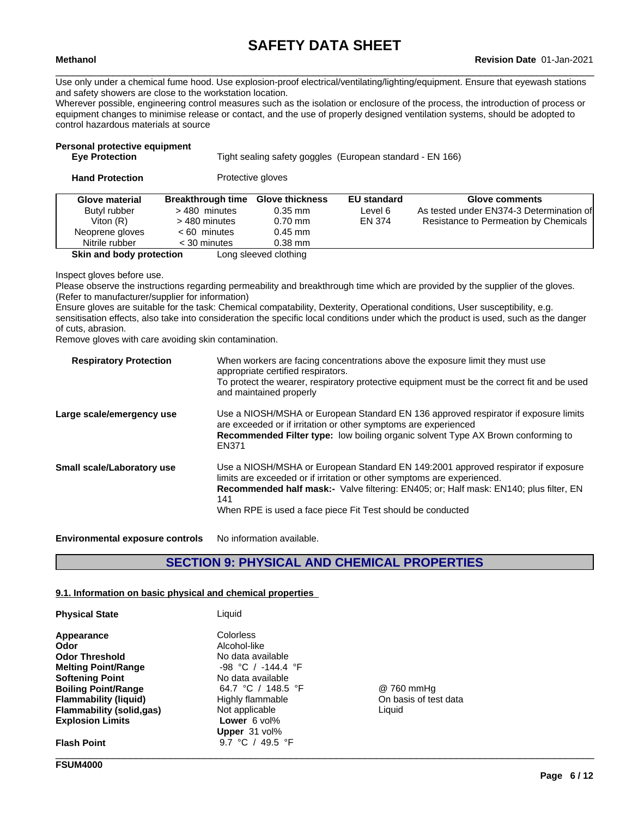Use only under a chemical fume hood. Use explosion-proof electrical/ventilating/lighting/equipment. Ensure that eyewash stations and safety showers are close to the workstation location.

Wherever possible, engineering control measures such as the isolation or enclosure of the process, the introduction of process or equipment changes to minimise release or contact, and the use of properly designed ventilation systems, should be adopted to control hazardous materials at source

# **Personal protective equipment**

Tight sealing safety goggles (European standard - EN 166)

| <b>Hand Protection</b>   |                          | Protective gloves      |                    |                                          |
|--------------------------|--------------------------|------------------------|--------------------|------------------------------------------|
| Glove material           | <b>Breakthrough time</b> | <b>Glove thickness</b> | <b>EU standard</b> | Glove comments                           |
| Butyl rubber             | >480 minutes             | $0.35$ mm              | Level 6            | As tested under EN374-3 Determination of |
| Viton $(R)$              | > 480 minutes            | $0.70$ mm              | EN 374             | Resistance to Permeation by Chemicals    |
| Neoprene gloves          | $< 60$ minutes           | $0.45$ mm              |                    |                                          |
| Nitrile rubber           | $<$ 30 minutes           | $0.38$ mm              |                    |                                          |
| Skin and body protection |                          | Long sleeved clothing  |                    |                                          |

Inspect gloves before use.

Please observe the instructions regarding permeability and breakthrough time which are provided by the supplier of the gloves. (Refer to manufacturer/supplier for information)

Ensure gloves are suitable for the task: Chemical compatability, Dexterity, Operational conditions, User susceptibility, e.g. sensitisation effects, also take into consideration the specific local conditions under which the product is used, such as the danger of cuts, abrasion.

Remove gloves with care avoiding skin contamination.

| <b>Respiratory Protection</b>     | When workers are facing concentrations above the exposure limit they must use<br>appropriate certified respirators.<br>To protect the wearer, respiratory protective equipment must be the correct fit and be used<br>and maintained properly                                                                                     |
|-----------------------------------|-----------------------------------------------------------------------------------------------------------------------------------------------------------------------------------------------------------------------------------------------------------------------------------------------------------------------------------|
| Large scale/emergency use         | Use a NIOSH/MSHA or European Standard EN 136 approved respirator if exposure limits<br>are exceeded or if irritation or other symptoms are experienced<br><b>Recommended Filter type:</b> low boiling organic solvent Type AX Brown conforming to<br>EN371                                                                        |
| <b>Small scale/Laboratory use</b> | Use a NIOSH/MSHA or European Standard EN 149:2001 approved respirator if exposure<br>limits are exceeded or if irritation or other symptoms are experienced.<br><b>Recommended half mask:-</b> Valve filtering: EN405; or: Half mask: EN140; plus filter, EN<br>141<br>When RPE is used a face piece Fit Test should be conducted |

**Environmental exposure controls** No information available.

# **SECTION 9: PHYSICAL AND CHEMICAL PROPERTIES**

### **9.1. Information on basic physical and chemical properties**

| <b>Physical State</b>           | Liguid                 |                       |  |
|---------------------------------|------------------------|-----------------------|--|
| Appearance                      | Colorless              |                       |  |
| Odor                            | Alcohol-like           |                       |  |
| <b>Odor Threshold</b>           | No data available      |                       |  |
| <b>Melting Point/Range</b>      | $-98$ °C / $-144.4$ °F |                       |  |
| <b>Softening Point</b>          | No data available      |                       |  |
| <b>Boiling Point/Range</b>      | 64.7 °C / 148.5 °F     | @ 760 mmHq            |  |
| <b>Flammability (liquid)</b>    | Highly flammable       | On basis of test data |  |
| <b>Flammability (solid,gas)</b> | Not applicable         | Liquid                |  |
| <b>Explosion Limits</b>         | <b>Lower</b> $6$ vol%  |                       |  |
|                                 | Upper 31 vol%          |                       |  |
| <b>Flash Point</b>              | 9.7 °C / 49.5 °F       |                       |  |
|                                 |                        |                       |  |

**FSUM4000**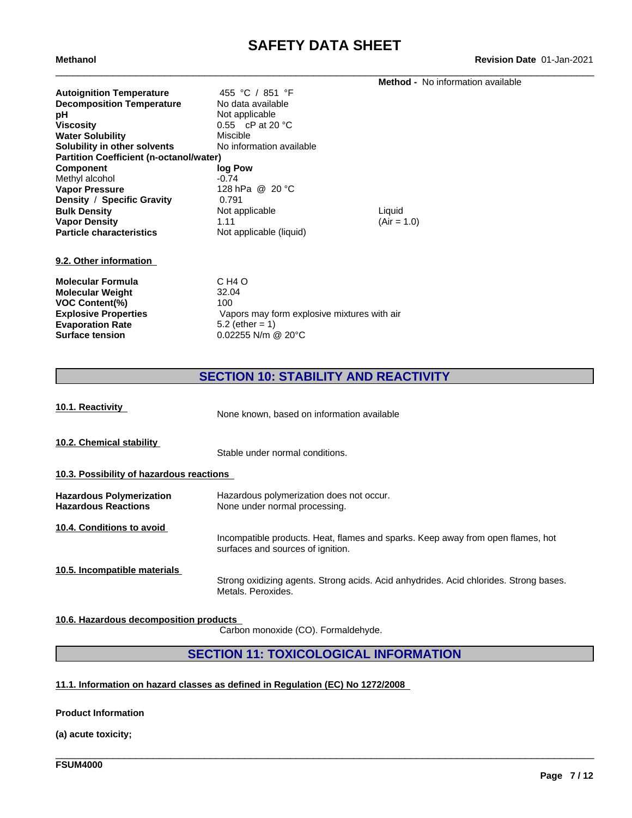\_\_\_\_\_\_\_\_\_\_\_\_\_\_\_\_\_\_\_\_\_\_\_\_\_\_\_\_\_\_\_\_\_\_\_\_\_\_\_\_\_\_\_\_\_\_\_\_\_\_\_\_\_\_\_\_\_\_\_\_\_\_\_\_\_\_\_\_\_\_\_\_\_\_\_\_\_\_\_\_\_\_\_\_\_\_\_\_\_\_\_\_\_\_ **Methanol Revision Date** 01-Jan-2021

|                                                                                                                                                                             |                                                                                                     | <b>Method - No information available</b> |
|-----------------------------------------------------------------------------------------------------------------------------------------------------------------------------|-----------------------------------------------------------------------------------------------------|------------------------------------------|
| <b>Autoignition Temperature</b><br><b>Decomposition Temperature</b><br>рH                                                                                                   | 455 °C / 851 °F<br>No data available<br>Not applicable                                              |                                          |
| <b>Viscosity</b>                                                                                                                                                            | 0.55 $\,$ cP at 20 $\,^{\circ}$ C                                                                   |                                          |
| <b>Water Solubility</b>                                                                                                                                                     | Miscible                                                                                            |                                          |
| Solubility in other solvents                                                                                                                                                | No information available                                                                            |                                          |
| <b>Partition Coefficient (n-octanol/water)</b>                                                                                                                              |                                                                                                     |                                          |
| <b>Component</b><br>Methyl alcohol<br><b>Vapor Pressure</b><br>Density / Specific Gravity<br><b>Bulk Density</b><br><b>Vapor Density</b><br><b>Particle characteristics</b> | log Pow<br>$-0.74$<br>128 hPa @ 20 °C<br>0.791<br>Not applicable<br>1.11<br>Not applicable (liquid) | Liquid<br>$(Air = 1.0)$                  |
| 9.2. Other information                                                                                                                                                      |                                                                                                     |                                          |
| <b>Molecular Formula</b>                                                                                                                                                    | C H <sub>4</sub> O                                                                                  |                                          |
| <b>Molecular Weight</b>                                                                                                                                                     | 32.04                                                                                               |                                          |
| <b>VOC Content(%)</b>                                                                                                                                                       | 100                                                                                                 |                                          |
| <b>Explosive Properties</b>                                                                                                                                                 | Vapors may form explosive mixtures with air                                                         |                                          |
| <b>Evaporation Rate</b>                                                                                                                                                     | 5.2 (ether = $1$ )                                                                                  |                                          |
| <b>Surface tension</b>                                                                                                                                                      | $0.02255$ N/m @ 20°C                                                                                |                                          |

**SECTION 10: STABILITY AND REACTIVITY**

| 10.1. Reactivity                                              | None known, based on information available                                                                           |
|---------------------------------------------------------------|----------------------------------------------------------------------------------------------------------------------|
| 10.2. Chemical stability                                      | Stable under normal conditions.                                                                                      |
| 10.3. Possibility of hazardous reactions                      |                                                                                                                      |
| <b>Hazardous Polymerization</b><br><b>Hazardous Reactions</b> | Hazardous polymerization does not occur.<br>None under normal processing.                                            |
| 10.4. Conditions to avoid                                     | Incompatible products. Heat, flames and sparks. Keep away from open flames, hot<br>surfaces and sources of ignition. |
| 10.5. Incompatible materials                                  | Strong oxidizing agents. Strong acids. Acid anhydrides. Acid chlorides. Strong bases.<br>Metals, Peroxides.          |

# **10.6. Hazardous decomposition products**

Carbon monoxide (CO). Formaldehyde.

# **SECTION 11: TOXICOLOGICAL INFORMATION**

\_\_\_\_\_\_\_\_\_\_\_\_\_\_\_\_\_\_\_\_\_\_\_\_\_\_\_\_\_\_\_\_\_\_\_\_\_\_\_\_\_\_\_\_\_\_\_\_\_\_\_\_\_\_\_\_\_\_\_\_\_\_\_\_\_\_\_\_\_\_\_\_\_\_\_\_\_\_\_\_\_\_\_\_\_\_\_\_\_\_\_\_\_\_

**11.1. Information on hazard classes as defined in Regulation (EC) No 1272/2008**

# **Product Information**

**(a) acute toxicity;**

**FSUM4000**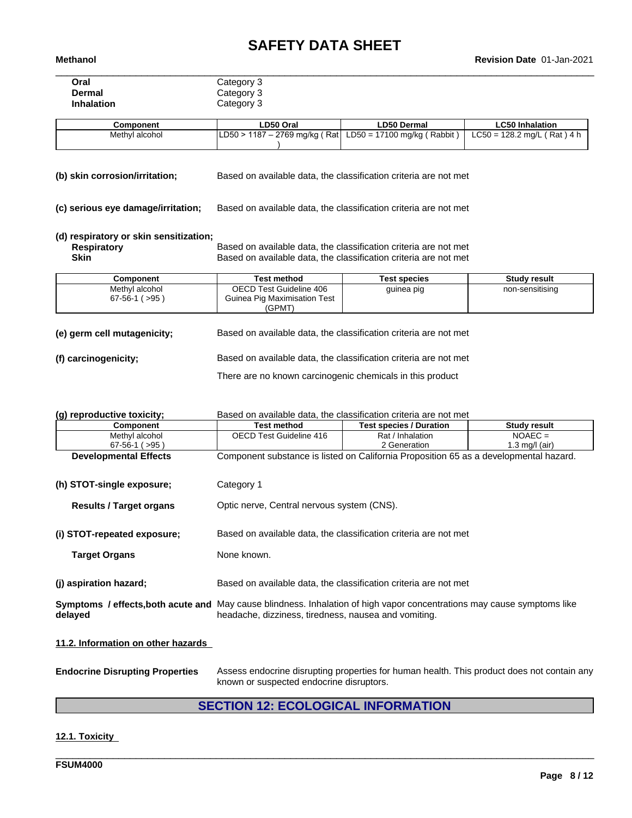| Oral       | Category 3 |
|------------|------------|
| Dermal     | Category 3 |
| Inhalation | Category 3 |

| Component      | LD50 Oral                         | <b>LD50 Dermal</b>          | ∟C50 Inhalation               |
|----------------|-----------------------------------|-----------------------------|-------------------------------|
| Methyl alcohol | LD50 > 1187 – 2769 mg/kg ( Rat  L | LD50 = 17100 mg/kg (Rabbit) | $LC50 = 128.2$ mg/L (Rat) 4 h |
|                |                                   |                             |                               |

**(b) skin corrosion/irritation;** Based on available data, the classification criteria are not met

**(c) serious eye damage/irritation;** Based on available data, the classification criteria are not met

# **(d) respiratory or skin sensitization;**

**Respiratory** Based on available data, the classification criteria are not met Social Conservation criteria are not met Social Conservation criteria are not met Social Conservation criteria are not met Social Conservation **Skin** Based on available data, the classification criteria are not met

| Component          | Test method                  | Test species | Studv result    |
|--------------------|------------------------------|--------------|-----------------|
| Methyl alcohol     | OECD Test Guideline 406      | guinea pig   | non-sensitising |
| ( > 95)<br>67-56-1 | Guinea Pig Maximisation Test |              |                 |
|                    | (GPMT)                       |              |                 |

| (e) germ cell mutagenicity; | Based on available data, the classification criteria are not met |
|-----------------------------|------------------------------------------------------------------|
| (f) carcinogenicity;        | Based on available data, the classification criteria are not met |
|                             | There are no known carcinogenic chemicals in this product        |

| (g) reproductive toxicity;                                                                                                                | Based on available data, the classification criteria are not met                      |                                                                  |                     |  |  |
|-------------------------------------------------------------------------------------------------------------------------------------------|---------------------------------------------------------------------------------------|------------------------------------------------------------------|---------------------|--|--|
| Component                                                                                                                                 | Test method                                                                           | <b>Test species / Duration</b>                                   | <b>Study result</b> |  |  |
| Methyl alcohol                                                                                                                            | OECD Test Guideline 416                                                               | Rat / Inhalation                                                 | $NOAEC =$           |  |  |
| $67-56-1$ ( $>95$ )                                                                                                                       |                                                                                       | 2 Generation                                                     | 1.3 mg/l (air)      |  |  |
| <b>Developmental Effects</b>                                                                                                              | Component substance is listed on California Proposition 65 as a developmental hazard. |                                                                  |                     |  |  |
| (h) STOT-single exposure;                                                                                                                 | Category 1                                                                            |                                                                  |                     |  |  |
| <b>Results / Target organs</b>                                                                                                            |                                                                                       | Optic nerve, Central nervous system (CNS).                       |                     |  |  |
| (i) STOT-repeated exposure;                                                                                                               | Based on available data, the classification criteria are not met                      |                                                                  |                     |  |  |
| <b>Target Organs</b>                                                                                                                      | None known.                                                                           |                                                                  |                     |  |  |
| (j) aspiration hazard;                                                                                                                    |                                                                                       | Based on available data, the classification criteria are not met |                     |  |  |
| <b>Symptoms / effects, both acute and</b> May cause blindness. Inhalation of high vapor concentrations may cause symptoms like<br>delayed | headache, dizziness, tiredness, nausea and vomiting.                                  |                                                                  |                     |  |  |
| 11.2. Information on other hazards                                                                                                        |                                                                                       |                                                                  |                     |  |  |

**Endocrine Disrupting Properties** Assess endocrine disrupting properties for human health. This product does not contain any known or suspected endocrine disruptors.

# **SECTION 12: ECOLOGICAL INFORMATION**

\_\_\_\_\_\_\_\_\_\_\_\_\_\_\_\_\_\_\_\_\_\_\_\_\_\_\_\_\_\_\_\_\_\_\_\_\_\_\_\_\_\_\_\_\_\_\_\_\_\_\_\_\_\_\_\_\_\_\_\_\_\_\_\_\_\_\_\_\_\_\_\_\_\_\_\_\_\_\_\_\_\_\_\_\_\_\_\_\_\_\_\_\_\_

# **12.1. Toxicity**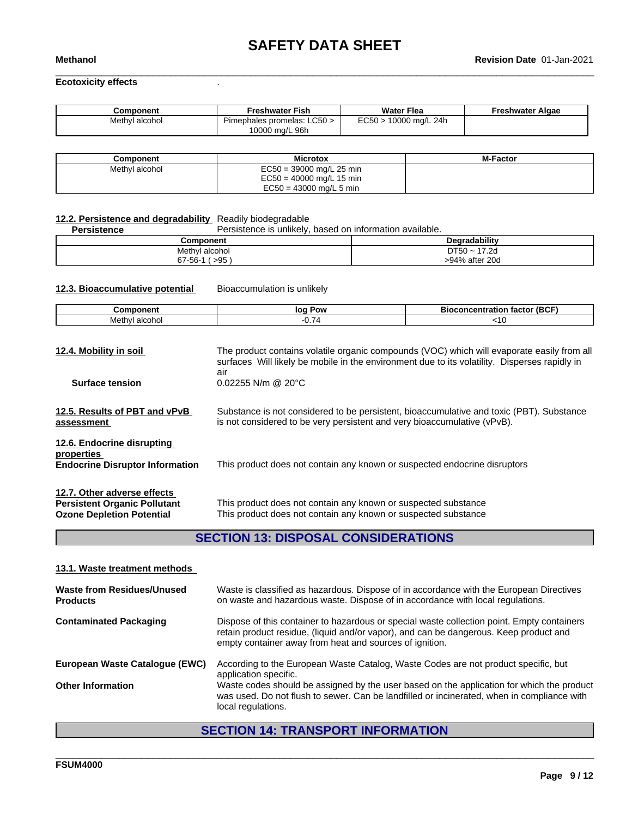# **Ecotoxicity effects** .

| Component      | Freshwater Fish                         | <b>Water Flea</b>      | Freshwater Algae |
|----------------|-----------------------------------------|------------------------|------------------|
| Methyl alcohol | LC50 ><br>- -<br>Pimephales promelas: L | EC50<br>10000 mg/L 24h |                  |
|                | 10000 mg/L 96h                          |                        |                  |

| Component      | <b>Microtox</b>            | <b>M-Factor</b> |
|----------------|----------------------------|-----------------|
| Methyl alcohol | $EC50 = 39000$ mg/L 25 min |                 |
|                | $EC50 = 40000$ mg/L 15 min |                 |
|                | $EC50 = 43000$ mg/L 5 min  |                 |

# **12.2. Persistence and degradability** Readily biodegradable

Persistence is unlikely, based on information available.

| Component                  | ıradabilitv<br>Dec.  |
|----------------------------|----------------------|
| Methyl<br>l alcohol        | <b>DT50</b><br>17.2d |
| 0F.<br>$67 - 56 -$<br>- 90 | >94% after 20d       |

**12.3. Bioaccumulative potential** Bioaccumulation is unlikely

| `omn<br>------    | $\mathbf{O}^{\mathbf{V}}$<br>lo' | $-100-1$<br>.<br>---<br>ĸи<br>16 U<br>. |
|-------------------|----------------------------------|-----------------------------------------|
| Methyl<br>ាlcoho∟ | $-$<br>-<br>ັ. ເ                 |                                         |

| 12.4. Mobility in soil                                                                                 | The product contains volatile organic compounds (VOC) which will evaporate easily from all<br>surfaces Will likely be mobile in the environment due to its volatility. Disperses rapidly in<br>air |
|--------------------------------------------------------------------------------------------------------|----------------------------------------------------------------------------------------------------------------------------------------------------------------------------------------------------|
| <b>Surface tension</b>                                                                                 | $0.02255$ N/m @ 20 $^{\circ}$ C                                                                                                                                                                    |
| 12.5. Results of PBT and vPvB<br>assessment                                                            | Substance is not considered to be persistent, bioaccumulative and toxic (PBT). Substance<br>is not considered to be very persistent and very bioaccumulative (vPvB).                               |
| 12.6. Endocrine disrupting<br>properties<br><b>Endocrine Disruptor Information</b>                     | This product does not contain any known or suspected endocrine disruptors                                                                                                                          |
| 12.7. Other adverse effects<br><b>Persistent Organic Pollutant</b><br><b>Ozone Depletion Potential</b> | This product does not contain any known or suspected substance<br>This product does not contain any known or suspected substance                                                                   |

# **SECTION 13: DISPOSAL CONSIDERATIONS**

# **13.1. Waste treatment methods**

| Waste from Residues/Unused<br><b>Products</b> | Waste is classified as hazardous. Dispose of in accordance with the European Directives<br>on waste and hazardous waste. Dispose of in accordance with local regulations.                                                                      |
|-----------------------------------------------|------------------------------------------------------------------------------------------------------------------------------------------------------------------------------------------------------------------------------------------------|
| <b>Contaminated Packaging</b>                 | Dispose of this container to hazardous or special waste collection point. Empty containers<br>retain product residue, (liquid and/or vapor), and can be dangerous. Keep product and<br>empty container away from heat and sources of ignition. |
| European Waste Catalogue (EWC)                | According to the European Waste Catalog, Waste Codes are not product specific, but<br>application specific.                                                                                                                                    |
| <b>Other Information</b>                      | Waste codes should be assigned by the user based on the application for which the product<br>was used. Do not flush to sewer. Can be landfilled or incinerated, when in compliance with<br>local regulations.                                  |

# **SECTION 14: TRANSPORT INFORMATION**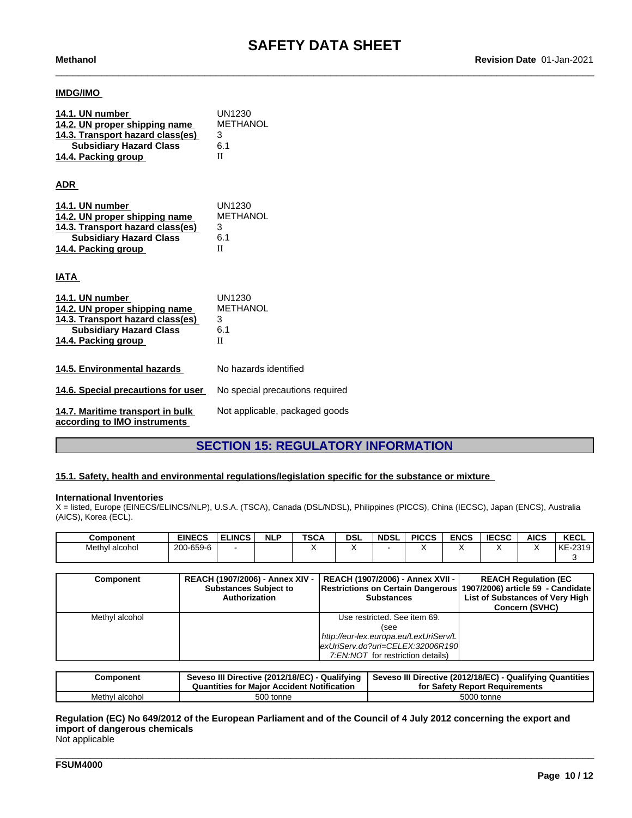# **IMDG/IMO**

| 14.1. UN number<br>14.2. UN proper shipping name<br>14.3. Transport hazard class(es)<br><b>Subsidiary Hazard Class</b><br>14.4. Packing group | UN1230<br><b>METHANOL</b><br>3<br>6.1<br>H |
|-----------------------------------------------------------------------------------------------------------------------------------------------|--------------------------------------------|
| <b>ADR</b>                                                                                                                                    |                                            |
| 14.1. UN number<br>14.2. UN proper shipping name<br>14.3. Transport hazard class(es)<br><b>Subsidiary Hazard Class</b><br>14.4. Packing group | UN1230<br>METHANOL<br>3<br>6.1<br>H        |
| IATA                                                                                                                                          |                                            |
| 14.1. UN number<br>14.2. UN proper shipping name<br>14.3. Transport hazard class(es)<br><b>Subsidiary Hazard Class</b><br>14.4. Packing group | UN1230<br>METHANOL<br>3<br>6.1<br>H        |
| 14.5. Environmental hazards                                                                                                                   | No hazards identified                      |
| 14.6. Special precautions for user                                                                                                            | No special precautions required            |
| 14.7. Maritime transport in bulk<br>according to IMO instruments                                                                              | Not applicable, packaged goods             |

# **SECTION 15: REGULATORY INFORMATION**

# **15.1. Safety, health and environmental regulations/legislation specific for the substance or mixture**

### **International Inventories**

X = listed, Europe (EINECS/ELINCS/NLP), U.S.A. (TSCA), Canada (DSL/NDSL), Philippines (PICCS), China (IECSC), Japan (ENCS), Australia (AICS), Korea (ECL).

| Component         | <b>EINECS</b>              | <b>ELINCS</b> | <b>NLP</b> | <b>TSCA</b> | DSL | <b>NDSL</b> | <b>PICCS</b> | <b>ENCS</b> | <b>IECSC</b> | <b>AICS</b> | <b>KECL</b>   |
|-------------------|----------------------------|---------------|------------|-------------|-----|-------------|--------------|-------------|--------------|-------------|---------------|
| Methyl<br>alcohol | 0-659-6<br>$\sim$<br>' 20u |               |            |             |     |             |              |             |              |             | $-2319$<br>KE |
|                   |                            |               |            |             |     |             |              |             |              |             |               |

| Component      | <b>REACH (1907/2006) - Annex XIV -</b><br><b>Substances Subject to</b><br>Authorization | REACH (1907/2006) - Annex XVII -  <br>Restrictions on Certain Dangerous 1907/2006) article 59 - Candidate<br><b>Substances</b> | <b>REACH Regulation (EC</b><br>List of Substances of Very High<br><b>Concern (SVHC)</b> |
|----------------|-----------------------------------------------------------------------------------------|--------------------------------------------------------------------------------------------------------------------------------|-----------------------------------------------------------------------------------------|
| Methyl alcohol |                                                                                         | Use restricted. See item 69.                                                                                                   |                                                                                         |
|                |                                                                                         | (see                                                                                                                           |                                                                                         |
|                |                                                                                         | http://eur-lex.europa.eu/LexUriServ/L                                                                                          |                                                                                         |
|                |                                                                                         | exUriServ.do?uri=CELEX:32006R190                                                                                               |                                                                                         |
|                |                                                                                         | 7:EN:NOT for restriction details)                                                                                              |                                                                                         |

| Component           | Seveso III Directive (2012/18/EC) - Qualifying<br>r Accident Notification<br>Quantities for Maior 7 | Seveso III Directive (2012/18/EC) -<br>- Qualifying Quantities<br>for Safety Report Requirements |
|---------------------|-----------------------------------------------------------------------------------------------------|--------------------------------------------------------------------------------------------------|
| Methvl<br>i alcohol | 500 tonne                                                                                           | 5000 tonne                                                                                       |

\_\_\_\_\_\_\_\_\_\_\_\_\_\_\_\_\_\_\_\_\_\_\_\_\_\_\_\_\_\_\_\_\_\_\_\_\_\_\_\_\_\_\_\_\_\_\_\_\_\_\_\_\_\_\_\_\_\_\_\_\_\_\_\_\_\_\_\_\_\_\_\_\_\_\_\_\_\_\_\_\_\_\_\_\_\_\_\_\_\_\_\_\_\_

Regulation (EC) No 649/2012 of the European Parliament and of the Council of 4 July 2012 concerning the export and **import of dangerous chemicals**

Not applicable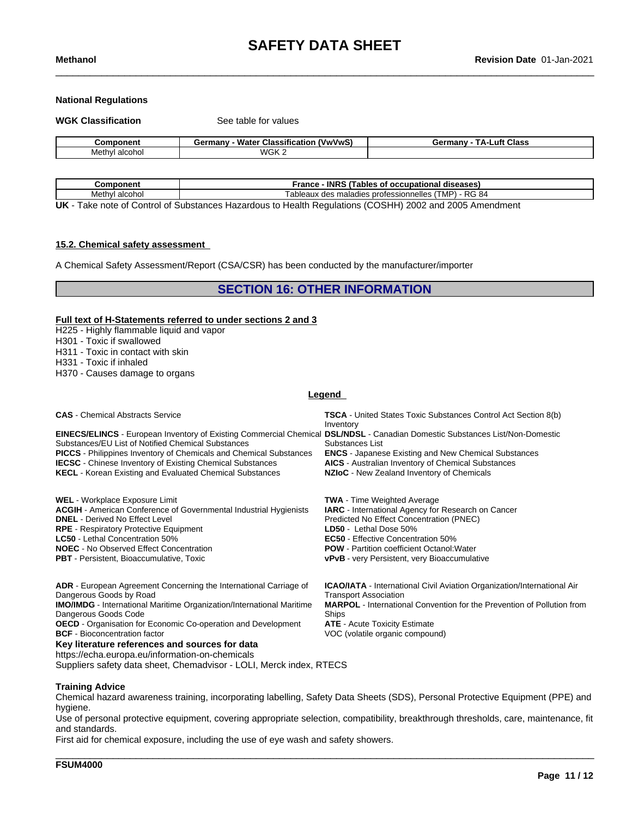### **National Regulations**

**WGK Classification** See table for values

| Component         | <br>Water<br>(VwVwS)<br><b>Classification</b><br>ermanvث | <b>ΤΔ</b> .<br><b>∟uft Class</b><br>Germany |
|-------------------|----------------------------------------------------------|---------------------------------------------|
| Methyl<br>alcohol | WGK ∠                                                    |                                             |

| .<br>onent                                                                                                                                                                                                                                                                                                                                                                                                                                                                                                                                                                                                                    | <b>INRS</b><br>iables<br>rance<br>diseases<br>occupational<br>. വ                        |  |  |
|-------------------------------------------------------------------------------------------------------------------------------------------------------------------------------------------------------------------------------------------------------------------------------------------------------------------------------------------------------------------------------------------------------------------------------------------------------------------------------------------------------------------------------------------------------------------------------------------------------------------------------|------------------------------------------------------------------------------------------|--|--|
| Methyl<br>alcohol                                                                                                                                                                                                                                                                                                                                                                                                                                                                                                                                                                                                             | MP<br>- RG 84<br>าnelles<br>: professioni<br>$\cdots$<br>maladies<br>des<br>aultaux<br>. |  |  |
| $\cdots$<br>$\mathbf{1}$ $\mathbf{1}$ $\mathbf{1}$ $\mathbf{1}$ $\mathbf{1}$ $\mathbf{1}$ $\mathbf{1}$ $\mathbf{1}$ $\mathbf{1}$ $\mathbf{1}$ $\mathbf{1}$ $\mathbf{1}$ $\mathbf{1}$ $\mathbf{1}$ $\mathbf{1}$ $\mathbf{1}$ $\mathbf{1}$ $\mathbf{1}$ $\mathbf{1}$ $\mathbf{1}$ $\mathbf{1}$ $\mathbf{1}$ $\mathbf{1}$ $\mathbf{1}$ $\mathbf{$<br>$\mathbf{A}$ and $\mathbf{A}$<br>.<br>$\blacksquare$ . The set of the set of the set of the set of the set of the set of the set of the set of the set of the set of the set of the set of the set of the set of the set of the set of the set of the set of the set of the |                                                                                          |  |  |

**UK** - Take note of Control of Substances Hazardous to Health Regulations (COSHH) 2002 and 2005 Amendment

### **15.2. Chemical safety assessment**

A Chemical Safety Assessment/Report (CSA/CSR) has been conducted by the manufacturer/importer

# **SECTION 16: OTHER INFORMATION**

# **Full text of H-Statements referred to undersections 2 and 3**

- H225 Highly flammable liquid and vapor
- H301 Toxic if swallowed
- H311 Toxic in contact with skin
- H331 Toxic if inhaled
- H370 Causes damage to organs

### **Legend**

| <b>CAS</b> - Chemical Abstracts Service                                                                                                                                                                                                                                                                                                                                                                       | <b>TSCA</b> - United States Toxic Substances Control Act Section 8(b)<br>Inventory                                                                                                        |
|---------------------------------------------------------------------------------------------------------------------------------------------------------------------------------------------------------------------------------------------------------------------------------------------------------------------------------------------------------------------------------------------------------------|-------------------------------------------------------------------------------------------------------------------------------------------------------------------------------------------|
| <b>EINECS/ELINCS</b> - European Inventory of Existing Commercial Chemical DSL/NDSL - Canadian Domestic Substances List/Non-Domestic<br>Substances/EU List of Notified Chemical Substances<br><b>PICCS</b> - Philippines Inventory of Chemicals and Chemical Substances<br><b>IECSC</b> - Chinese Inventory of Existing Chemical Substances<br><b>KECL</b> - Korean Existing and Evaluated Chemical Substances | Substances List<br><b>ENCS</b> - Japanese Existing and New Chemical Substances<br><b>AICS</b> - Australian Inventory of Chemical Substances<br>NZIoC - New Zealand Inventory of Chemicals |
| <b>WEL</b> - Workplace Exposure Limit                                                                                                                                                                                                                                                                                                                                                                         | <b>TWA</b> - Time Weighted Average                                                                                                                                                        |
| <b>ACGIH</b> - American Conference of Governmental Industrial Hygienists                                                                                                                                                                                                                                                                                                                                      | IARC - International Agency for Research on Cancer                                                                                                                                        |
| <b>DNEL</b> - Derived No Effect Level                                                                                                                                                                                                                                                                                                                                                                         | Predicted No Effect Concentration (PNEC)                                                                                                                                                  |
| <b>RPE</b> - Respiratory Protective Equipment                                                                                                                                                                                                                                                                                                                                                                 | LD50 - Lethal Dose 50%                                                                                                                                                                    |
| <b>LC50</b> - Lethal Concentration 50%                                                                                                                                                                                                                                                                                                                                                                        | <b>EC50</b> - Effective Concentration 50%                                                                                                                                                 |
| <b>NOEC</b> - No Observed Effect Concentration                                                                                                                                                                                                                                                                                                                                                                | <b>POW</b> - Partition coefficient Octanol: Water                                                                                                                                         |
| <b>PBT</b> - Persistent, Bioaccumulative, Toxic                                                                                                                                                                                                                                                                                                                                                               | <b>vPvB</b> - very Persistent, very Bioaccumulative                                                                                                                                       |
| ADR - European Agreement Concerning the International Carriage of                                                                                                                                                                                                                                                                                                                                             | <b>ICAO/IATA</b> - International Civil Aviation Organization/International Air                                                                                                            |
| Dangerous Goods by Road                                                                                                                                                                                                                                                                                                                                                                                       | <b>Transport Association</b>                                                                                                                                                              |
| <b>IMO/IMDG</b> - International Maritime Organization/International Maritime                                                                                                                                                                                                                                                                                                                                  | <b>MARPOL</b> - International Convention for the Prevention of Pollution from                                                                                                             |
| Dangerous Goods Code                                                                                                                                                                                                                                                                                                                                                                                          | Ships                                                                                                                                                                                     |
| <b>OECD</b> - Organisation for Economic Co-operation and Development                                                                                                                                                                                                                                                                                                                                          | <b>ATE</b> - Acute Toxicity Estimate                                                                                                                                                      |
| <b>BCF</b> - Bioconcentration factor                                                                                                                                                                                                                                                                                                                                                                          | VOC (volatile organic compound)                                                                                                                                                           |

**Key literature references and sources for data**

https://echa.europa.eu/information-on-chemicals

Suppliers safety data sheet, Chemadvisor - LOLI, Merck index, RTECS

## **Training Advice**

Chemical hazard awareness training, incorporating labelling, Safety Data Sheets (SDS), Personal Protective Equipment (PPE) and hygiene.

Use of personal protective equipment, covering appropriate selection, compatibility, breakthrough thresholds, care, maintenance, fit and standards.

\_\_\_\_\_\_\_\_\_\_\_\_\_\_\_\_\_\_\_\_\_\_\_\_\_\_\_\_\_\_\_\_\_\_\_\_\_\_\_\_\_\_\_\_\_\_\_\_\_\_\_\_\_\_\_\_\_\_\_\_\_\_\_\_\_\_\_\_\_\_\_\_\_\_\_\_\_\_\_\_\_\_\_\_\_\_\_\_\_\_\_\_\_\_

First aid for chemical exposure, including the use of eye wash and safety showers.